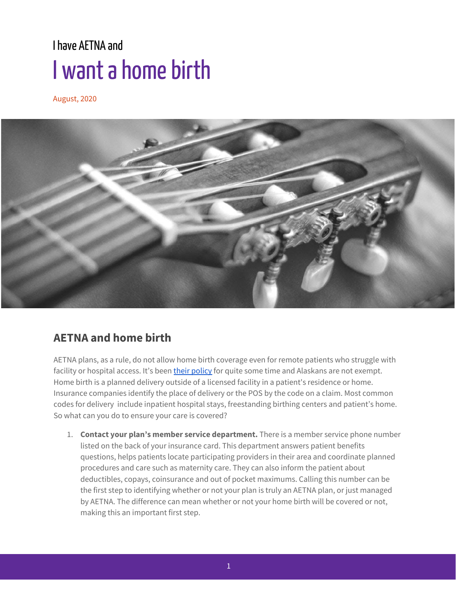## Ihave AETNA and I want a home birth

August, 2020



## **AETNA and home birth**

AETNA plans, as a rule, do not allow home birth coverage even for remote patients who struggle with facility or hospital access. It's been their [policy](http://www.aetna.com/cpb/medical/data/300_399/0329.html#:~:text=Aetna%20considers%20planned%20deliveries%20at,0127%20%2D%20Home%20Uterine%20Activity%20Monitoring.) for quite some time and Alaskans are not exempt. Home birth is a planned delivery outside of a licensed facility in a patient's residence or home. Insurance companies identify the place of delivery or the POS by the code on a claim. Most common codes for delivery include inpatient hospital stays, freestanding birthing centers and patient's home. So what can you do to ensure your care is covered?

1. **Contact your plan's member service department.** There is a member service phone number listed on the back of your insurance card. This department answers patient benefits questions, helps patients locate participating providers in their area and coordinate planned procedures and care such as maternity care. They can also inform the patient about deductibles, copays, coinsurance and out of pocket maximums. Calling this number can be the first step to identifying whether or not your plan is truly an AETNA plan, or just managed by AETNA. The difference can mean whether or not your home birth will be covered or not, making this an important first step.